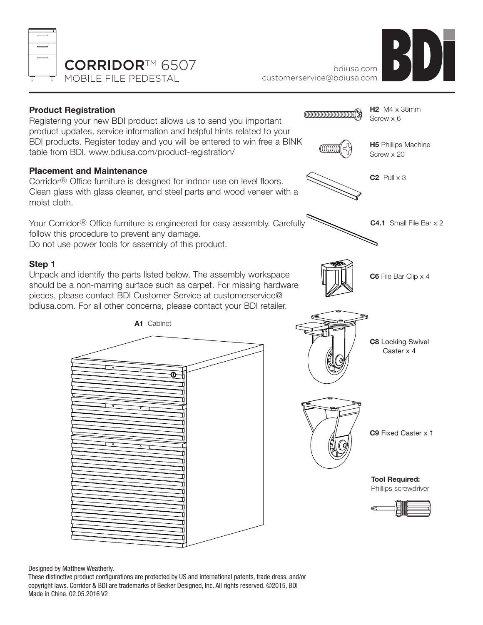





Designed by Matthew Weatherly.

These distinctive product configurations are protected by US and international patents, trade dress, and/or copyright laws. Corridor & BDI are trademarks of Becker Designed, Inc. All rights reserved. ©2015, BDI Made in China. 02.05.2016 V2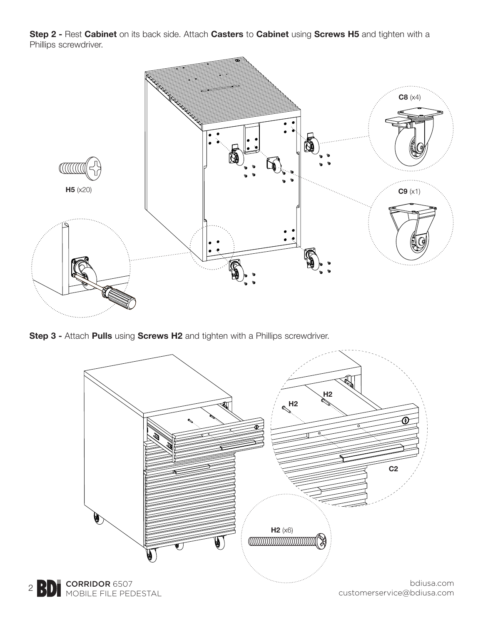**Step 2 -** Rest **Cabinet** on its back side. Attach **Casters** to **Cabinet** using **Screws H5** and tighten with a Phillips screwdriver.



**Step 3 -** Attach **Pulls** using **Screws H2** and tighten with a Phillips screwdriver.

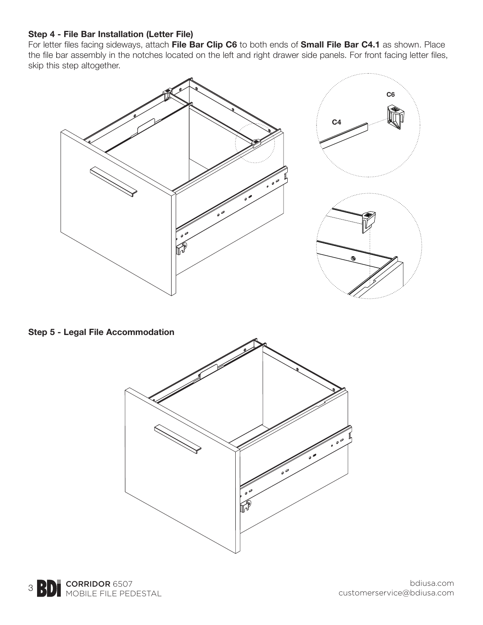## **Step 4 - File Bar Installation (Letter File)**

For letter files facing sideways, attach **File Bar Clip C6** to both ends of **Small File Bar C4.1** as shown. Place the file bar assembly in the notches located on the left and right drawer side panels. For front facing letter files, skip this step altogether.



**Step 5 - Legal File Accommodation**